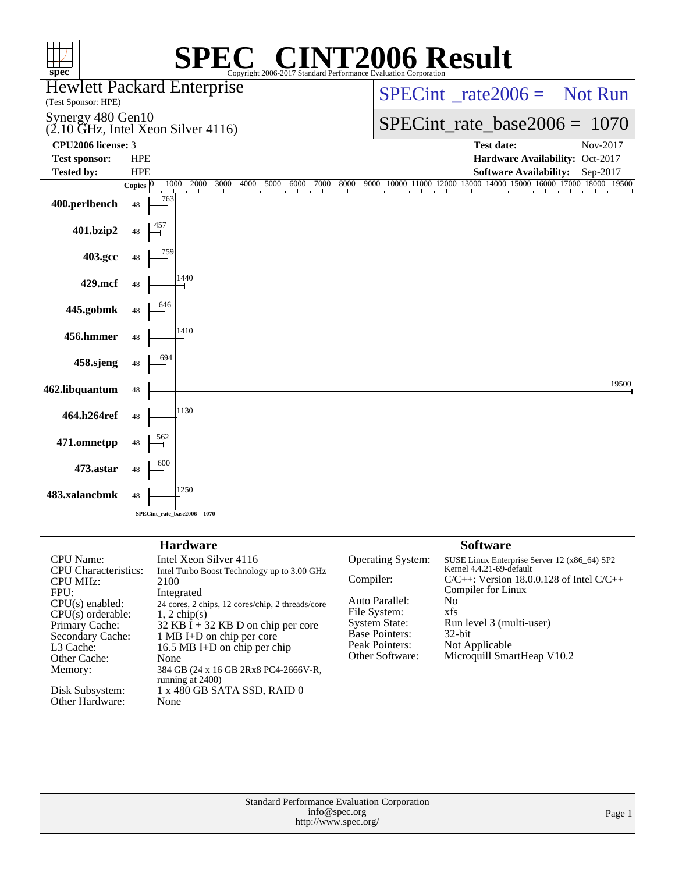| <b>72006 Result</b><br>$\circledR$<br>spec <sup>®</sup><br>Copyright 2006-2017 Standard Performance Evaluation Corporation                                                                                                                 |                                                                                                                                                                                                                                                                                                                                                                                                            |                                                                                                                                                                                                                                                                                                                                                                                                                                    |  |  |  |  |  |  |  |  |
|--------------------------------------------------------------------------------------------------------------------------------------------------------------------------------------------------------------------------------------------|------------------------------------------------------------------------------------------------------------------------------------------------------------------------------------------------------------------------------------------------------------------------------------------------------------------------------------------------------------------------------------------------------------|------------------------------------------------------------------------------------------------------------------------------------------------------------------------------------------------------------------------------------------------------------------------------------------------------------------------------------------------------------------------------------------------------------------------------------|--|--|--|--|--|--|--|--|
| (Test Sponsor: HPE)                                                                                                                                                                                                                        | <b>Hewlett Packard Enterprise</b>                                                                                                                                                                                                                                                                                                                                                                          | $SPECint^{\circ}$ rate $2006 =$ Not Run                                                                                                                                                                                                                                                                                                                                                                                            |  |  |  |  |  |  |  |  |
| Synergy 480 Gen10                                                                                                                                                                                                                          | $(2.10 \text{ GHz}, \text{Intel Xeon Silver } 4116)$                                                                                                                                                                                                                                                                                                                                                       | $SPECint_rate_base2006 = 1070$                                                                                                                                                                                                                                                                                                                                                                                                     |  |  |  |  |  |  |  |  |
| CPU2006 license: 3                                                                                                                                                                                                                         |                                                                                                                                                                                                                                                                                                                                                                                                            | <b>Test date:</b><br>Nov-2017                                                                                                                                                                                                                                                                                                                                                                                                      |  |  |  |  |  |  |  |  |
| <b>Test sponsor:</b><br><b>Tested by:</b>                                                                                                                                                                                                  | <b>HPE</b><br><b>HPE</b>                                                                                                                                                                                                                                                                                                                                                                                   | Hardware Availability: Oct-2017<br><b>Software Availability:</b><br>Sep-2017                                                                                                                                                                                                                                                                                                                                                       |  |  |  |  |  |  |  |  |
|                                                                                                                                                                                                                                            | 1000<br>3000<br>4000<br>5000<br>7000<br>Copies $ 0$<br>2000<br>6000                                                                                                                                                                                                                                                                                                                                        | 9000 10000 11000 12000 13000 14000 15000 16000 17000 18000 19500<br>8000                                                                                                                                                                                                                                                                                                                                                           |  |  |  |  |  |  |  |  |
| 400.perlbench                                                                                                                                                                                                                              | <b>The Common</b><br>763<br>48                                                                                                                                                                                                                                                                                                                                                                             | <b>College</b><br>all control                                                                                                                                                                                                                                                                                                                                                                                                      |  |  |  |  |  |  |  |  |
| 401.bzip2                                                                                                                                                                                                                                  | 48                                                                                                                                                                                                                                                                                                                                                                                                         |                                                                                                                                                                                                                                                                                                                                                                                                                                    |  |  |  |  |  |  |  |  |
| 403.gcc                                                                                                                                                                                                                                    | 48                                                                                                                                                                                                                                                                                                                                                                                                         |                                                                                                                                                                                                                                                                                                                                                                                                                                    |  |  |  |  |  |  |  |  |
| 429.mcf                                                                                                                                                                                                                                    | 1440<br>48                                                                                                                                                                                                                                                                                                                                                                                                 |                                                                                                                                                                                                                                                                                                                                                                                                                                    |  |  |  |  |  |  |  |  |
| 445.gobmk                                                                                                                                                                                                                                  | 48                                                                                                                                                                                                                                                                                                                                                                                                         |                                                                                                                                                                                                                                                                                                                                                                                                                                    |  |  |  |  |  |  |  |  |
| 456.hmmer                                                                                                                                                                                                                                  | 1410<br>48                                                                                                                                                                                                                                                                                                                                                                                                 |                                                                                                                                                                                                                                                                                                                                                                                                                                    |  |  |  |  |  |  |  |  |
| 458.sjeng                                                                                                                                                                                                                                  | 48                                                                                                                                                                                                                                                                                                                                                                                                         |                                                                                                                                                                                                                                                                                                                                                                                                                                    |  |  |  |  |  |  |  |  |
| 462.libquantum                                                                                                                                                                                                                             | 48                                                                                                                                                                                                                                                                                                                                                                                                         | 19500                                                                                                                                                                                                                                                                                                                                                                                                                              |  |  |  |  |  |  |  |  |
| 464.h264ref                                                                                                                                                                                                                                | 1130<br>48                                                                                                                                                                                                                                                                                                                                                                                                 |                                                                                                                                                                                                                                                                                                                                                                                                                                    |  |  |  |  |  |  |  |  |
| 471.omnetpp                                                                                                                                                                                                                                | 562<br>48                                                                                                                                                                                                                                                                                                                                                                                                  |                                                                                                                                                                                                                                                                                                                                                                                                                                    |  |  |  |  |  |  |  |  |
| 473.astar                                                                                                                                                                                                                                  | 48                                                                                                                                                                                                                                                                                                                                                                                                         |                                                                                                                                                                                                                                                                                                                                                                                                                                    |  |  |  |  |  |  |  |  |
| 483.xalancbmk                                                                                                                                                                                                                              | 1250<br>48                                                                                                                                                                                                                                                                                                                                                                                                 |                                                                                                                                                                                                                                                                                                                                                                                                                                    |  |  |  |  |  |  |  |  |
|                                                                                                                                                                                                                                            | $SPECint_rate_base2006 = 1070$                                                                                                                                                                                                                                                                                                                                                                             |                                                                                                                                                                                                                                                                                                                                                                                                                                    |  |  |  |  |  |  |  |  |
| <b>CPU</b> Name:<br><b>CPU</b> Characteristics:<br><b>CPU MHz:</b><br>FPU:<br>$CPU(s)$ enabled:<br>$CPU(s)$ orderable:<br>Primary Cache:<br>Secondary Cache:<br>L3 Cache:<br>Other Cache:<br>Memory:<br>Disk Subsystem:<br>Other Hardware: | <b>Hardware</b><br>Intel Xeon Silver 4116<br>Intel Turbo Boost Technology up to 3.00 GHz<br>2100<br>Integrated<br>24 cores, 2 chips, 12 cores/chip, 2 threads/core<br>$1, 2$ chip(s)<br>32 KB $\bar{I}$ + 32 KB D on chip per core<br>1 MB I+D on chip per core<br>16.5 MB I+D on chip per chip<br>None<br>384 GB (24 x 16 GB 2Rx8 PC4-2666V-R,<br>running at 2400)<br>1 x 480 GB SATA SSD, RAID 0<br>None | <b>Software</b><br>Operating System:<br>SUSE Linux Enterprise Server 12 (x86_64) SP2<br>Kernel 4.4.21-69-default<br>Compiler:<br>$C/C++$ : Version 18.0.0.128 of Intel $C/C++$<br>Compiler for Linux<br>Auto Parallel:<br>No<br>xfs<br>File System:<br><b>System State:</b><br>Run level 3 (multi-user)<br><b>Base Pointers:</b><br>$32$ -bit<br>Peak Pointers:<br>Not Applicable<br>Other Software:<br>Microquill SmartHeap V10.2 |  |  |  |  |  |  |  |  |
|                                                                                                                                                                                                                                            | Standard Performance Evaluation Corporation<br>info@spec.org<br>http://www.spec.org/                                                                                                                                                                                                                                                                                                                       | Page 1                                                                                                                                                                                                                                                                                                                                                                                                                             |  |  |  |  |  |  |  |  |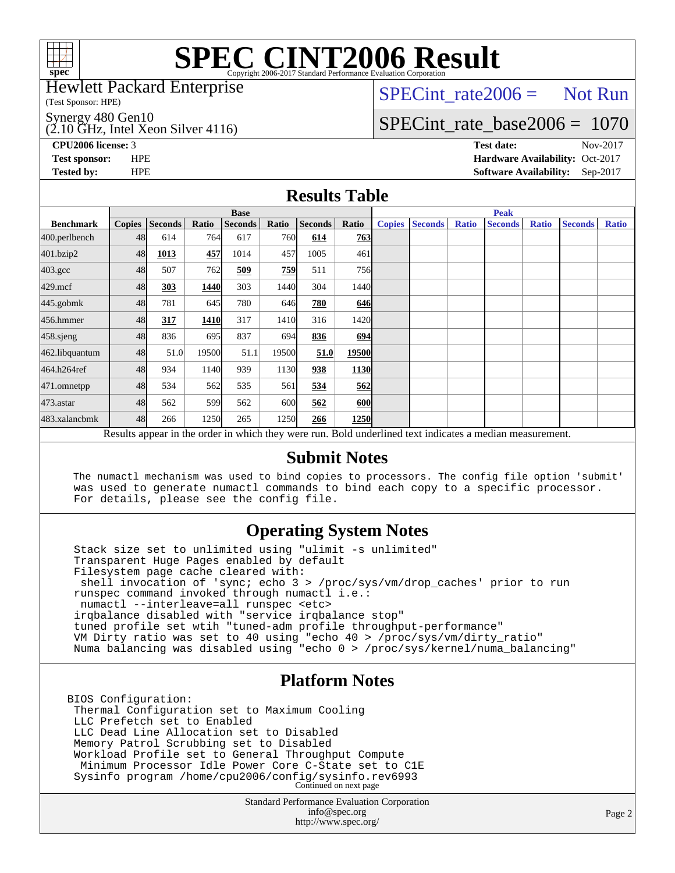

Hewlett Packard Enterprise

(Test Sponsor: HPE)

Synergy 480 Gen10

 $(2.10 \text{ GHz}, \text{Intel Xeon Silver } 4116)$ 

 $SPECTnt_rate2006 = Not Run$ 

# [SPECint\\_rate\\_base2006 =](http://www.spec.org/auto/cpu2006/Docs/result-fields.html#SPECintratebase2006) 1070

**[CPU2006 license:](http://www.spec.org/auto/cpu2006/Docs/result-fields.html#CPU2006license)** 3 **[Test date:](http://www.spec.org/auto/cpu2006/Docs/result-fields.html#Testdate)** Nov-2017 **[Test sponsor:](http://www.spec.org/auto/cpu2006/Docs/result-fields.html#Testsponsor)** HPE **[Hardware Availability:](http://www.spec.org/auto/cpu2006/Docs/result-fields.html#HardwareAvailability)** Oct-2017 **[Tested by:](http://www.spec.org/auto/cpu2006/Docs/result-fields.html#Testedby)** HPE **[Software Availability:](http://www.spec.org/auto/cpu2006/Docs/result-fields.html#SoftwareAvailability)** Sep-2017

## **[Results Table](http://www.spec.org/auto/cpu2006/Docs/result-fields.html#ResultsTable)**

|                                                                                                          | <b>Base</b>   |                |       |                |            |                |            | <b>Peak</b>   |                |              |                |              |                |              |
|----------------------------------------------------------------------------------------------------------|---------------|----------------|-------|----------------|------------|----------------|------------|---------------|----------------|--------------|----------------|--------------|----------------|--------------|
| <b>Benchmark</b>                                                                                         | <b>Copies</b> | <b>Seconds</b> | Ratio | <b>Seconds</b> | Ratio      | <b>Seconds</b> | Ratio      | <b>Copies</b> | <b>Seconds</b> | <b>Ratio</b> | <b>Seconds</b> | <b>Ratio</b> | <b>Seconds</b> | <b>Ratio</b> |
| 400.perlbench                                                                                            | 48            | 614            | 764   | 617            | <b>760</b> | 614            | 763        |               |                |              |                |              |                |              |
| 401.bzip2                                                                                                | 48            | 1013           | 457   | 1014           | 457        | 1005           | 461        |               |                |              |                |              |                |              |
| $403.\mathrm{gcc}$                                                                                       | 48            | 507            | 762   | 509            | 759        | 511            | 756        |               |                |              |                |              |                |              |
| $429$ .mcf                                                                                               | 48            | 303            | 1440  | 303            | 1440       | 304            | 1440       |               |                |              |                |              |                |              |
| $445$ .gobm $k$                                                                                          | 48            | 781            | 645   | 780            | 646        | 780            | 646        |               |                |              |                |              |                |              |
| 456.hmmer                                                                                                | 48            | 317            | 1410  | 317            | 1410       | 316            | 1420       |               |                |              |                |              |                |              |
| $458$ .sjeng                                                                                             | 48            | 836            | 695   | 837            | 694        | 836            | <b>694</b> |               |                |              |                |              |                |              |
| 462.libquantum                                                                                           | 48            | 51.0           | 19500 | 51.1           | 19500      | 51.0           | 19500      |               |                |              |                |              |                |              |
| 464.h264ref                                                                                              | 48            | 934            | 1140  | 939            | 1130       | 938            | 1130       |               |                |              |                |              |                |              |
| 471.omnetpp                                                                                              | 48            | 534            | 562   | 535            | 561        | 534            | <b>562</b> |               |                |              |                |              |                |              |
| $473$ . astar                                                                                            | 48            | 562            | 599   | 562            | 600        | 562            | 600        |               |                |              |                |              |                |              |
| 483.xalancbmk                                                                                            | 48            | 266            | 1250  | 265            | 1250       | 266            | 1250       |               |                |              |                |              |                |              |
| Results appear in the order in which they were run. Bold underlined text indicates a median measurement. |               |                |       |                |            |                |            |               |                |              |                |              |                |              |

### **[Submit Notes](http://www.spec.org/auto/cpu2006/Docs/result-fields.html#SubmitNotes)**

 The numactl mechanism was used to bind copies to processors. The config file option 'submit' was used to generate numactl commands to bind each copy to a specific processor. For details, please see the config file.

## **[Operating System Notes](http://www.spec.org/auto/cpu2006/Docs/result-fields.html#OperatingSystemNotes)**

 Stack size set to unlimited using "ulimit -s unlimited" Transparent Huge Pages enabled by default Filesystem page cache cleared with: shell invocation of 'sync; echo 3 > /proc/sys/vm/drop\_caches' prior to run runspec command invoked through numactl i.e.: numactl --interleave=all runspec <etc> irqbalance disabled with "service irqbalance stop" tuned profile set wtih "tuned-adm profile throughput-performance" VM Dirty ratio was set to 40 using "echo 40 > /proc/sys/vm/dirty\_ratio" Numa balancing was disabled using "echo 0 > /proc/sys/kernel/numa\_balancing"

## **[Platform Notes](http://www.spec.org/auto/cpu2006/Docs/result-fields.html#PlatformNotes)**

BIOS Configuration: Thermal Configuration set to Maximum Cooling LLC Prefetch set to Enabled LLC Dead Line Allocation set to Disabled Memory Patrol Scrubbing set to Disabled Workload Profile set to General Throughput Compute Minimum Processor Idle Power Core C-State set to C1E Sysinfo program /home/cpu2006/config/sysinfo.rev6993 Continued on next page

> Standard Performance Evaluation Corporation [info@spec.org](mailto:info@spec.org) <http://www.spec.org/>

Page 2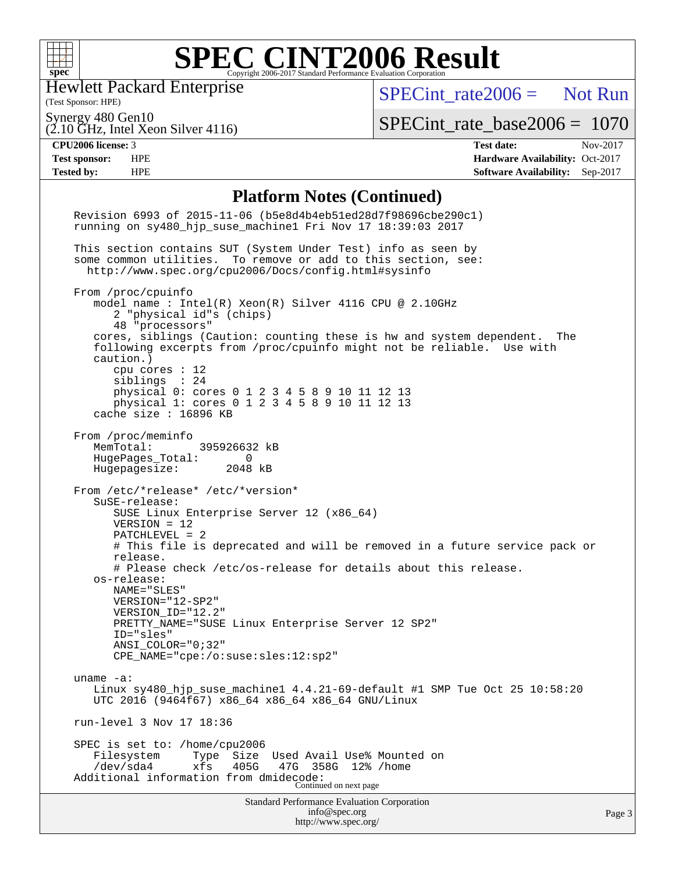

Hewlett Packard Enterprise

(2.10 GHz, Intel Xeon Silver 4116)

(Test Sponsor: HPE)

 $SPECint rate2006 =$  Not Run

Synergy 480 Gen10

[SPECint\\_rate\\_base2006 =](http://www.spec.org/auto/cpu2006/Docs/result-fields.html#SPECintratebase2006) 1070

**[CPU2006 license:](http://www.spec.org/auto/cpu2006/Docs/result-fields.html#CPU2006license)** 3 **[Test date:](http://www.spec.org/auto/cpu2006/Docs/result-fields.html#Testdate)** Nov-2017 **[Test sponsor:](http://www.spec.org/auto/cpu2006/Docs/result-fields.html#Testsponsor)** HPE **[Hardware Availability:](http://www.spec.org/auto/cpu2006/Docs/result-fields.html#HardwareAvailability)** Oct-2017 **[Tested by:](http://www.spec.org/auto/cpu2006/Docs/result-fields.html#Testedby)** HPE **[Software Availability:](http://www.spec.org/auto/cpu2006/Docs/result-fields.html#SoftwareAvailability)** Sep-2017

#### **[Platform Notes \(Continued\)](http://www.spec.org/auto/cpu2006/Docs/result-fields.html#PlatformNotes)**

Standard Performance Evaluation Corporation [info@spec.org](mailto:info@spec.org) Revision 6993 of 2015-11-06 (b5e8d4b4eb51ed28d7f98696cbe290c1) running on sy480\_hjp\_suse\_machine1 Fri Nov 17 18:39:03 2017 This section contains SUT (System Under Test) info as seen by some common utilities. To remove or add to this section, see: <http://www.spec.org/cpu2006/Docs/config.html#sysinfo> From /proc/cpuinfo model name : Intel(R) Xeon(R) Silver 4116 CPU @ 2.10GHz 2 "physical id"s (chips) 48 "processors" cores, siblings (Caution: counting these is hw and system dependent. The following excerpts from /proc/cpuinfo might not be reliable. Use with caution.) cpu cores : 12 siblings : 24 physical 0: cores 0 1 2 3 4 5 8 9 10 11 12 13 physical 1: cores 0 1 2 3 4 5 8 9 10 11 12 13 cache size : 16896 KB From /proc/meminfo MemTotal: 395926632 kB HugePages\_Total: 0 Hugepagesize: 2048 kB From /etc/\*release\* /etc/\*version\* SuSE-release: SUSE Linux Enterprise Server 12 (x86\_64) VERSION = 12 PATCHLEVEL = 2 # This file is deprecated and will be removed in a future service pack or release. # Please check /etc/os-release for details about this release. os-release: NAME="SLES" VERSION="12-SP2" VERSION\_ID="12.2" PRETTY\_NAME="SUSE Linux Enterprise Server 12 SP2" ID="sles" ANSI\_COLOR="0;32" CPE\_NAME="cpe:/o:suse:sles:12:sp2" uname -a: Linux sy480 hjp suse machine1  $4.4.21-69$ -default #1 SMP Tue Oct 25 10:58:20 UTC 2016 (9464f67) x86\_64 x86\_64 x86\_64 GNU/Linux run-level 3 Nov 17 18:36 SPEC is set to: /home/cpu2006<br>Filesystem Type Size Used Avail Use% Mounted on /dev/sda4 xfs 405G 47G 358G 12% /home Additional information from dmidecode: Continued on next page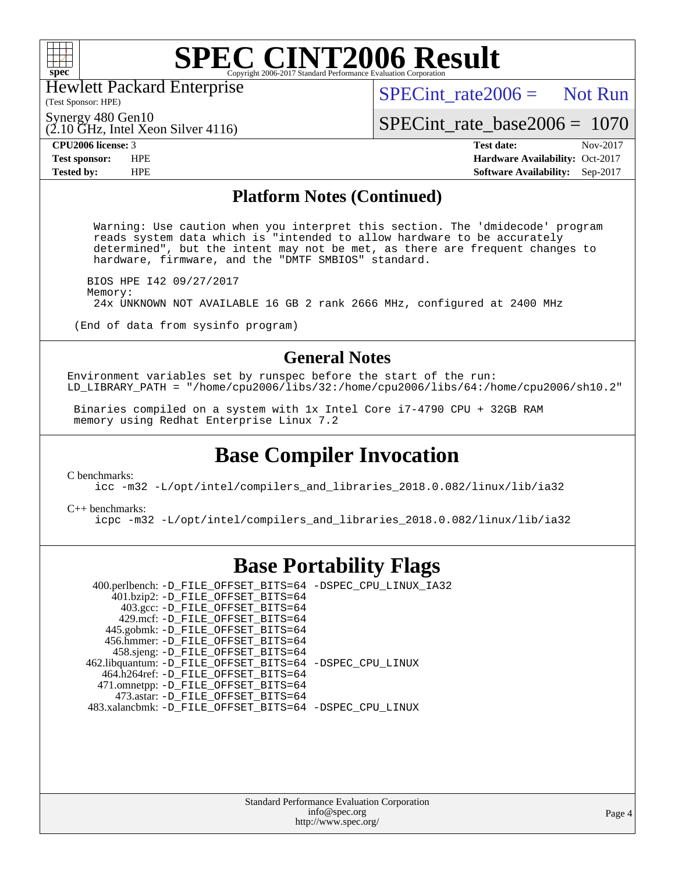

Hewlett Packard Enterprise

(2.10 GHz, Intel Xeon Silver 4116)

 $SPECint rate2006 =$  Not Run

(Test Sponsor: HPE) Synergy 480 Gen10

[SPECint\\_rate\\_base2006 =](http://www.spec.org/auto/cpu2006/Docs/result-fields.html#SPECintratebase2006) 1070

**[CPU2006 license:](http://www.spec.org/auto/cpu2006/Docs/result-fields.html#CPU2006license)** 3 **[Test date:](http://www.spec.org/auto/cpu2006/Docs/result-fields.html#Testdate)** Nov-2017 **[Test sponsor:](http://www.spec.org/auto/cpu2006/Docs/result-fields.html#Testsponsor)** HPE **[Hardware Availability:](http://www.spec.org/auto/cpu2006/Docs/result-fields.html#HardwareAvailability)** Oct-2017 **[Tested by:](http://www.spec.org/auto/cpu2006/Docs/result-fields.html#Testedby)** HPE **[Software Availability:](http://www.spec.org/auto/cpu2006/Docs/result-fields.html#SoftwareAvailability)** Sep-2017

### **[Platform Notes \(Continued\)](http://www.spec.org/auto/cpu2006/Docs/result-fields.html#PlatformNotes)**

 Warning: Use caution when you interpret this section. The 'dmidecode' program reads system data which is "intended to allow hardware to be accurately determined", but the intent may not be met, as there are frequent changes to hardware, firmware, and the "DMTF SMBIOS" standard.

 BIOS HPE I42 09/27/2017 Memory: 24x UNKNOWN NOT AVAILABLE 16 GB 2 rank 2666 MHz, configured at 2400 MHz

(End of data from sysinfo program)

## **[General Notes](http://www.spec.org/auto/cpu2006/Docs/result-fields.html#GeneralNotes)**

Environment variables set by runspec before the start of the run: LD\_LIBRARY\_PATH = "/home/cpu2006/libs/32:/home/cpu2006/libs/64:/home/cpu2006/sh10.2"

 Binaries compiled on a system with 1x Intel Core i7-4790 CPU + 32GB RAM memory using Redhat Enterprise Linux 7.2

## **[Base Compiler Invocation](http://www.spec.org/auto/cpu2006/Docs/result-fields.html#BaseCompilerInvocation)**

[C benchmarks](http://www.spec.org/auto/cpu2006/Docs/result-fields.html#Cbenchmarks):

[icc -m32 -L/opt/intel/compilers\\_and\\_libraries\\_2018.0.082/linux/lib/ia32](http://www.spec.org/cpu2006/results/res2017q4/cpu2006-20171128-50863.flags.html#user_CCbase_intel_icc_355c401af4d5dc87e09103a6bbcae1c6)

[C++ benchmarks:](http://www.spec.org/auto/cpu2006/Docs/result-fields.html#CXXbenchmarks) [icpc -m32 -L/opt/intel/compilers\\_and\\_libraries\\_2018.0.082/linux/lib/ia32](http://www.spec.org/cpu2006/results/res2017q4/cpu2006-20171128-50863.flags.html#user_CXXbase_intel_icpc_b34a6f497613b30bc6bf10051974f22f)

## **[Base Portability Flags](http://www.spec.org/auto/cpu2006/Docs/result-fields.html#BasePortabilityFlags)**

 400.perlbench: [-D\\_FILE\\_OFFSET\\_BITS=64](http://www.spec.org/cpu2006/results/res2017q4/cpu2006-20171128-50863.flags.html#user_basePORTABILITY400_perlbench_file_offset_bits_64_438cf9856305ebd76870a2c6dc2689ab) [-DSPEC\\_CPU\\_LINUX\\_IA32](http://www.spec.org/cpu2006/results/res2017q4/cpu2006-20171128-50863.flags.html#b400.perlbench_baseCPORTABILITY_DSPEC_CPU_LINUX_IA32)  $401.bzip2$ : [-D\\_FILE\\_OFFSET\\_BITS=64](http://www.spec.org/cpu2006/results/res2017q4/cpu2006-20171128-50863.flags.html#user_basePORTABILITY401_bzip2_file_offset_bits_64_438cf9856305ebd76870a2c6dc2689ab) 403.gcc: [-D\\_FILE\\_OFFSET\\_BITS=64](http://www.spec.org/cpu2006/results/res2017q4/cpu2006-20171128-50863.flags.html#user_basePORTABILITY403_gcc_file_offset_bits_64_438cf9856305ebd76870a2c6dc2689ab) 429.mcf: [-D\\_FILE\\_OFFSET\\_BITS=64](http://www.spec.org/cpu2006/results/res2017q4/cpu2006-20171128-50863.flags.html#user_basePORTABILITY429_mcf_file_offset_bits_64_438cf9856305ebd76870a2c6dc2689ab) 445.gobmk: [-D\\_FILE\\_OFFSET\\_BITS=64](http://www.spec.org/cpu2006/results/res2017q4/cpu2006-20171128-50863.flags.html#user_basePORTABILITY445_gobmk_file_offset_bits_64_438cf9856305ebd76870a2c6dc2689ab) 456.hmmer: [-D\\_FILE\\_OFFSET\\_BITS=64](http://www.spec.org/cpu2006/results/res2017q4/cpu2006-20171128-50863.flags.html#user_basePORTABILITY456_hmmer_file_offset_bits_64_438cf9856305ebd76870a2c6dc2689ab) 458.sjeng: [-D\\_FILE\\_OFFSET\\_BITS=64](http://www.spec.org/cpu2006/results/res2017q4/cpu2006-20171128-50863.flags.html#user_basePORTABILITY458_sjeng_file_offset_bits_64_438cf9856305ebd76870a2c6dc2689ab) 462.libquantum: [-D\\_FILE\\_OFFSET\\_BITS=64](http://www.spec.org/cpu2006/results/res2017q4/cpu2006-20171128-50863.flags.html#user_basePORTABILITY462_libquantum_file_offset_bits_64_438cf9856305ebd76870a2c6dc2689ab) [-DSPEC\\_CPU\\_LINUX](http://www.spec.org/cpu2006/results/res2017q4/cpu2006-20171128-50863.flags.html#b462.libquantum_baseCPORTABILITY_DSPEC_CPU_LINUX) 464.h264ref: [-D\\_FILE\\_OFFSET\\_BITS=64](http://www.spec.org/cpu2006/results/res2017q4/cpu2006-20171128-50863.flags.html#user_basePORTABILITY464_h264ref_file_offset_bits_64_438cf9856305ebd76870a2c6dc2689ab) 471.omnetpp: [-D\\_FILE\\_OFFSET\\_BITS=64](http://www.spec.org/cpu2006/results/res2017q4/cpu2006-20171128-50863.flags.html#user_basePORTABILITY471_omnetpp_file_offset_bits_64_438cf9856305ebd76870a2c6dc2689ab) 473.astar: [-D\\_FILE\\_OFFSET\\_BITS=64](http://www.spec.org/cpu2006/results/res2017q4/cpu2006-20171128-50863.flags.html#user_basePORTABILITY473_astar_file_offset_bits_64_438cf9856305ebd76870a2c6dc2689ab) 483.xalancbmk: [-D\\_FILE\\_OFFSET\\_BITS=64](http://www.spec.org/cpu2006/results/res2017q4/cpu2006-20171128-50863.flags.html#user_basePORTABILITY483_xalancbmk_file_offset_bits_64_438cf9856305ebd76870a2c6dc2689ab) [-DSPEC\\_CPU\\_LINUX](http://www.spec.org/cpu2006/results/res2017q4/cpu2006-20171128-50863.flags.html#b483.xalancbmk_baseCXXPORTABILITY_DSPEC_CPU_LINUX)

> Standard Performance Evaluation Corporation [info@spec.org](mailto:info@spec.org) <http://www.spec.org/>